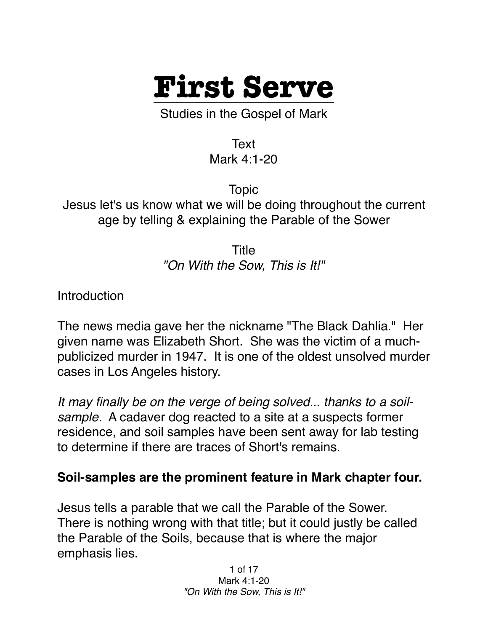

Studies in the Gospel of Mark

Text

Mark 4:1-20

Topic Jesus let's us know what we will be doing throughout the current age by telling & explaining the Parable of the Sower

> Title *"On With the Sow, This is It!"*

**Introduction** 

The news media gave her the nickname "The Black Dahlia." Her given name was Elizabeth Short. She was the victim of a muchpublicized murder in 1947. It is one of the oldest unsolved murder cases in Los Angeles history.

*It may finally be on the verge of being solved... thanks to a soilsample.* A cadaver dog reacted to a site at a suspects former residence, and soil samples have been sent away for lab testing to determine if there are traces of Short's remains.

## **Soil-samples are the prominent feature in Mark chapter four.**

Jesus tells a parable that we call the Parable of the Sower. There is nothing wrong with that title; but it could justly be called the Parable of the Soils, because that is where the major emphasis lies.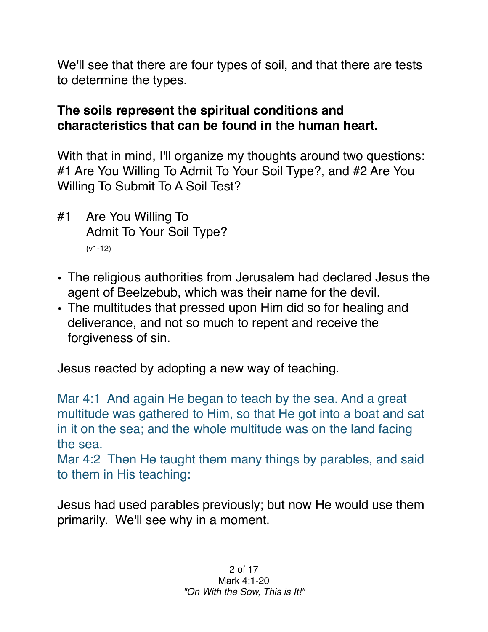We'll see that there are four types of soil, and that there are tests to determine the types.

## **The soils represent the spiritual conditions and characteristics that can be found in the human heart.**

With that in mind, I'll organize my thoughts around two questions: #1 Are You Willing To Admit To Your Soil Type?, and #2 Are You Willing To Submit To A Soil Test?

- #1 Are You Willing To Admit To Your Soil Type? (v1-12)
- The religious authorities from Jerusalem had declared Jesus the agent of Beelzebub, which was their name for the devil.
- The multitudes that pressed upon Him did so for healing and deliverance, and not so much to repent and receive the forgiveness of sin.

Jesus reacted by adopting a new way of teaching.

Mar 4:1 And again He began to teach by the sea. And a great multitude was gathered to Him, so that He got into a boat and sat in it on the sea; and the whole multitude was on the land facing the sea.

Mar 4:2 Then He taught them many things by parables, and said to them in His teaching:

Jesus had used parables previously; but now He would use them primarily. We'll see why in a moment.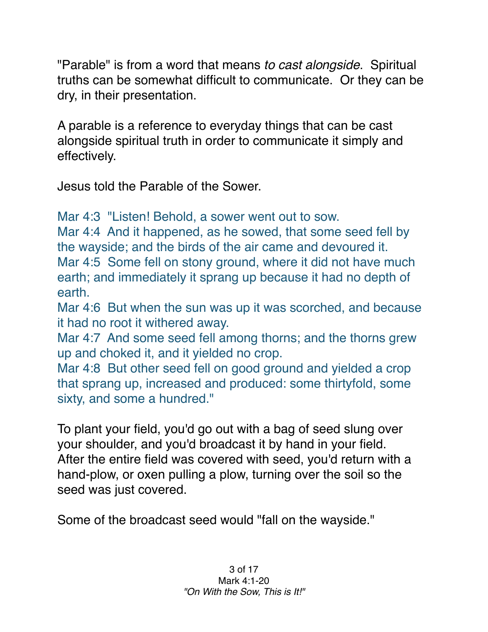"Parable" is from a word that means *to cast alongside*. Spiritual truths can be somewhat difficult to communicate. Or they can be dry, in their presentation.

A parable is a reference to everyday things that can be cast alongside spiritual truth in order to communicate it simply and effectively.

Jesus told the Parable of the Sower.

Mar 4:3 "Listen! Behold, a sower went out to sow.

Mar 4:4 And it happened, as he sowed, that some seed fell by the wayside; and the birds of the air came and devoured it. Mar 4:5 Some fell on stony ground, where it did not have much earth; and immediately it sprang up because it had no depth of earth.

Mar 4:6 But when the sun was up it was scorched, and because it had no root it withered away.

Mar 4:7 And some seed fell among thorns; and the thorns grew up and choked it, and it yielded no crop.

Mar 4:8 But other seed fell on good ground and yielded a crop that sprang up, increased and produced: some thirtyfold, some sixty, and some a hundred."

To plant your field, you'd go out with a bag of seed slung over your shoulder, and you'd broadcast it by hand in your field. After the entire field was covered with seed, you'd return with a hand-plow, or oxen pulling a plow, turning over the soil so the seed was just covered.

Some of the broadcast seed would "fall on the wayside."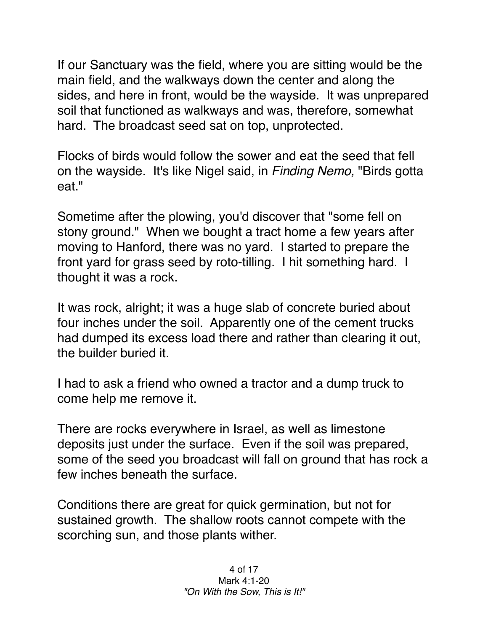If our Sanctuary was the field, where you are sitting would be the main field, and the walkways down the center and along the sides, and here in front, would be the wayside. It was unprepared soil that functioned as walkways and was, therefore, somewhat hard. The broadcast seed sat on top, unprotected.

Flocks of birds would follow the sower and eat the seed that fell on the wayside. It's like Nigel said, in *Finding Nemo,* "Birds gotta eat."

Sometime after the plowing, you'd discover that "some fell on stony ground." When we bought a tract home a few years after moving to Hanford, there was no yard. I started to prepare the front yard for grass seed by roto-tilling. I hit something hard. I thought it was a rock.

It was rock, alright; it was a huge slab of concrete buried about four inches under the soil. Apparently one of the cement trucks had dumped its excess load there and rather than clearing it out, the builder buried it.

I had to ask a friend who owned a tractor and a dump truck to come help me remove it.

There are rocks everywhere in Israel, as well as limestone deposits just under the surface. Even if the soil was prepared, some of the seed you broadcast will fall on ground that has rock a few inches beneath the surface.

Conditions there are great for quick germination, but not for sustained growth. The shallow roots cannot compete with the scorching sun, and those plants wither.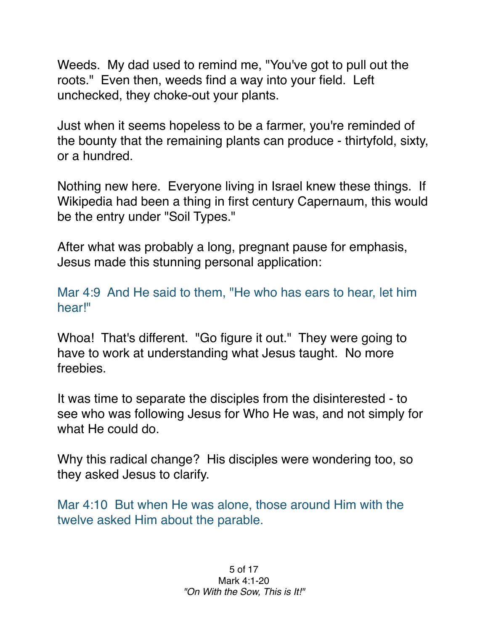Weeds. My dad used to remind me, "You've got to pull out the roots." Even then, weeds find a way into your field. Left unchecked, they choke-out your plants.

Just when it seems hopeless to be a farmer, you're reminded of the bounty that the remaining plants can produce - thirtyfold, sixty, or a hundred.

Nothing new here. Everyone living in Israel knew these things. If Wikipedia had been a thing in first century Capernaum, this would be the entry under "Soil Types."

After what was probably a long, pregnant pause for emphasis, Jesus made this stunning personal application:

Mar 4:9 And He said to them, "He who has ears to hear, let him hear!"

Whoa! That's different. "Go figure it out." They were going to have to work at understanding what Jesus taught. No more freebies.

It was time to separate the disciples from the disinterested - to see who was following Jesus for Who He was, and not simply for what He could do.

Why this radical change? His disciples were wondering too, so they asked Jesus to clarify.

Mar 4:10 But when He was alone, those around Him with the twelve asked Him about the parable.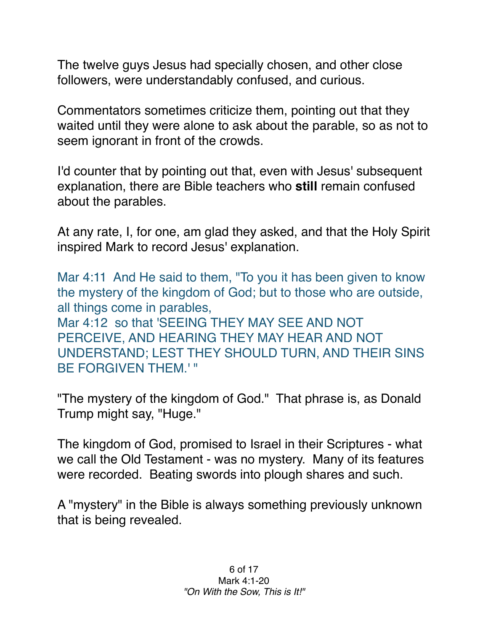The twelve guys Jesus had specially chosen, and other close followers, were understandably confused, and curious.

Commentators sometimes criticize them, pointing out that they waited until they were alone to ask about the parable, so as not to seem ignorant in front of the crowds.

I'd counter that by pointing out that, even with Jesus' subsequent explanation, there are Bible teachers who **still** remain confused about the parables.

At any rate, I, for one, am glad they asked, and that the Holy Spirit inspired Mark to record Jesus' explanation.

Mar 4:11 And He said to them, "To you it has been given to know the mystery of the kingdom of God; but to those who are outside, all things come in parables, Mar 4:12 so that 'SEEING THEY MAY SEE AND NOT PERCEIVE, AND HEARING THEY MAY HEAR AND NOT UNDERSTAND; LEST THEY SHOULD TURN, AND THEIR SINS BE FORGIVEN THEM.' "

"The mystery of the kingdom of God." That phrase is, as Donald Trump might say, "Huge."

The kingdom of God, promised to Israel in their Scriptures - what we call the Old Testament - was no mystery. Many of its features were recorded. Beating swords into plough shares and such.

A "mystery" in the Bible is always something previously unknown that is being revealed.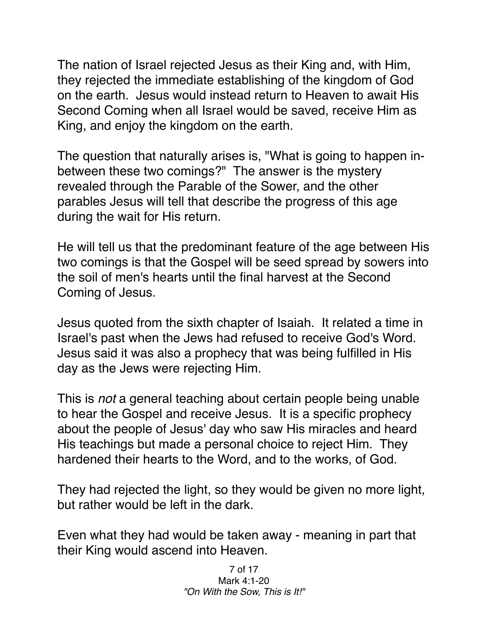The nation of Israel rejected Jesus as their King and, with Him, they rejected the immediate establishing of the kingdom of God on the earth. Jesus would instead return to Heaven to await His Second Coming when all Israel would be saved, receive Him as King, and enjoy the kingdom on the earth.

The question that naturally arises is, "What is going to happen inbetween these two comings?" The answer is the mystery revealed through the Parable of the Sower, and the other parables Jesus will tell that describe the progress of this age during the wait for His return.

He will tell us that the predominant feature of the age between His two comings is that the Gospel will be seed spread by sowers into the soil of men's hearts until the final harvest at the Second Coming of Jesus.

Jesus quoted from the sixth chapter of Isaiah. It related a time in Israel's past when the Jews had refused to receive God's Word. Jesus said it was also a prophecy that was being fulfilled in His day as the Jews were rejecting Him.

This is *not* a general teaching about certain people being unable to hear the Gospel and receive Jesus. It is a specific prophecy about the people of Jesus' day who saw His miracles and heard His teachings but made a personal choice to reject Him. They hardened their hearts to the Word, and to the works, of God.

They had rejected the light, so they would be given no more light, but rather would be left in the dark.

Even what they had would be taken away - meaning in part that their King would ascend into Heaven.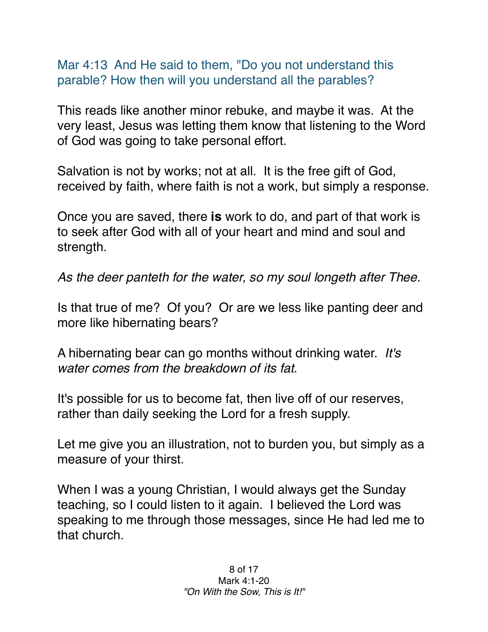Mar 4:13 And He said to them, "Do you not understand this parable? How then will you understand all the parables?

This reads like another minor rebuke, and maybe it was. At the very least, Jesus was letting them know that listening to the Word of God was going to take personal effort.

Salvation is not by works; not at all. It is the free gift of God, received by faith, where faith is not a work, but simply a response.

Once you are saved, there **is** work to do, and part of that work is to seek after God with all of your heart and mind and soul and strength.

*As the deer panteth for the water, so my soul longeth after Thee.*

Is that true of me? Of you? Or are we less like panting deer and more like hibernating bears?

A hibernating bear can go months without drinking water. *It's water comes from the breakdown of its fat.*

It's possible for us to become fat, then live off of our reserves, rather than daily seeking the Lord for a fresh supply.

Let me give you an illustration, not to burden you, but simply as a measure of your thirst.

When I was a young Christian, I would always get the Sunday teaching, so I could listen to it again. I believed the Lord was speaking to me through those messages, since He had led me to that church.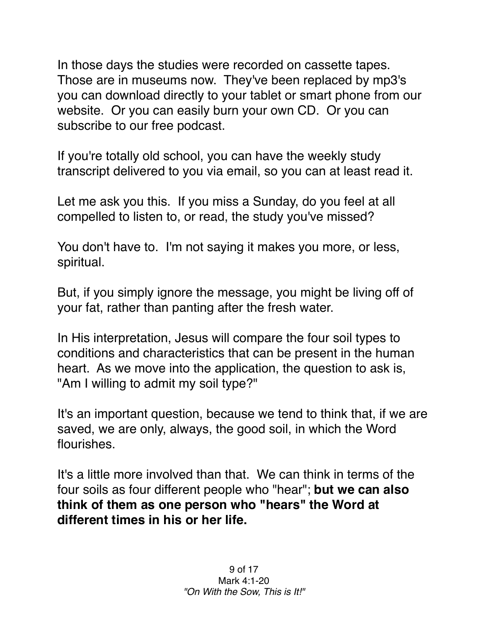In those days the studies were recorded on cassette tapes. Those are in museums now. They've been replaced by mp3's you can download directly to your tablet or smart phone from our website. Or you can easily burn your own CD. Or you can subscribe to our free podcast.

If you're totally old school, you can have the weekly study transcript delivered to you via email, so you can at least read it.

Let me ask you this. If you miss a Sunday, do you feel at all compelled to listen to, or read, the study you've missed?

You don't have to. I'm not saying it makes you more, or less, spiritual.

But, if you simply ignore the message, you might be living off of your fat, rather than panting after the fresh water.

In His interpretation, Jesus will compare the four soil types to conditions and characteristics that can be present in the human heart. As we move into the application, the question to ask is, "Am I willing to admit my soil type?"

It's an important question, because we tend to think that, if we are saved, we are only, always, the good soil, in which the Word flourishes.

It's a little more involved than that. We can think in terms of the four soils as four different people who "hear"; **but we can also think of them as one person who "hears" the Word at different times in his or her life.**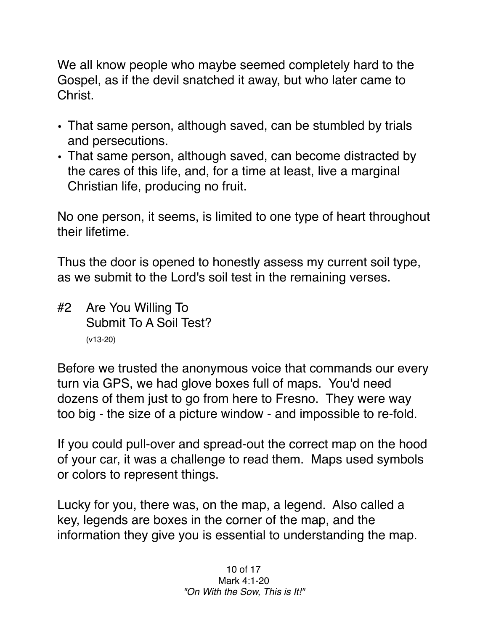We all know people who maybe seemed completely hard to the Gospel, as if the devil snatched it away, but who later came to Christ.

- That same person, although saved, can be stumbled by trials and persecutions.
- That same person, although saved, can become distracted by the cares of this life, and, for a time at least, live a marginal Christian life, producing no fruit.

No one person, it seems, is limited to one type of heart throughout their lifetime.

Thus the door is opened to honestly assess my current soil type, as we submit to the Lord's soil test in the remaining verses.

#2 Are You Willing To Submit To A Soil Test? (v13-20)

Before we trusted the anonymous voice that commands our every turn via GPS, we had glove boxes full of maps. You'd need dozens of them just to go from here to Fresno. They were way too big - the size of a picture window - and impossible to re-fold.

If you could pull-over and spread-out the correct map on the hood of your car, it was a challenge to read them. Maps used symbols or colors to represent things.

Lucky for you, there was, on the map, a legend. Also called a key, legends are boxes in the corner of the map, and the information they give you is essential to understanding the map.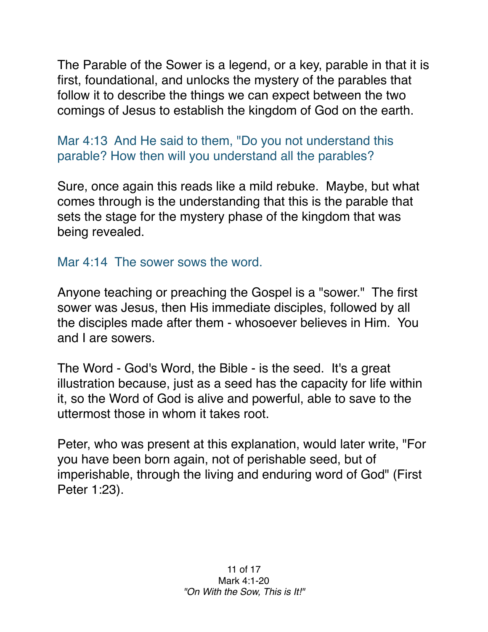The Parable of the Sower is a legend, or a key, parable in that it is first, foundational, and unlocks the mystery of the parables that follow it to describe the things we can expect between the two comings of Jesus to establish the kingdom of God on the earth.

Mar 4:13 And He said to them, "Do you not understand this parable? How then will you understand all the parables?

Sure, once again this reads like a mild rebuke. Maybe, but what comes through is the understanding that this is the parable that sets the stage for the mystery phase of the kingdom that was being revealed.

Mar 4:14 The sower sows the word.

Anyone teaching or preaching the Gospel is a "sower." The first sower was Jesus, then His immediate disciples, followed by all the disciples made after them - whosoever believes in Him. You and I are sowers.

The Word - God's Word, the Bible - is the seed. It's a great illustration because, just as a seed has the capacity for life within it, so the Word of God is alive and powerful, able to save to the uttermost those in whom it takes root.

Peter, who was present at this explanation, would later write, "For you have been born again, not of perishable seed, but of imperishable, through the living and enduring word of God" (First Peter 1:23).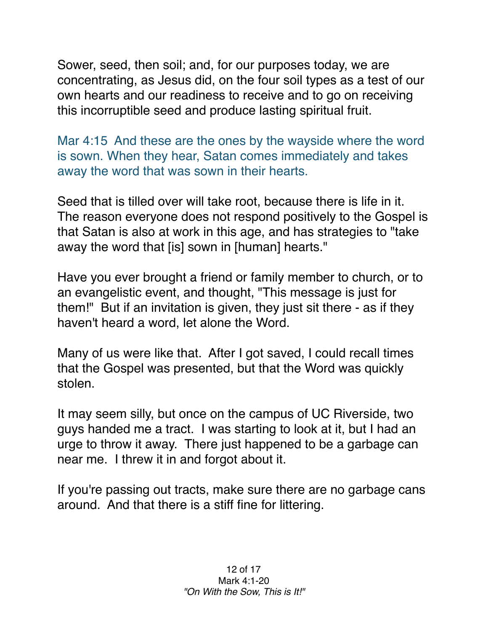Sower, seed, then soil; and, for our purposes today, we are concentrating, as Jesus did, on the four soil types as a test of our own hearts and our readiness to receive and to go on receiving this incorruptible seed and produce lasting spiritual fruit.

Mar 4:15 And these are the ones by the wayside where the word is sown. When they hear, Satan comes immediately and takes away the word that was sown in their hearts.

Seed that is tilled over will take root, because there is life in it. The reason everyone does not respond positively to the Gospel is that Satan is also at work in this age, and has strategies to "take away the word that [is] sown in [human] hearts."

Have you ever brought a friend or family member to church, or to an evangelistic event, and thought, "This message is just for them!" But if an invitation is given, they just sit there - as if they haven't heard a word, let alone the Word.

Many of us were like that. After I got saved, I could recall times that the Gospel was presented, but that the Word was quickly stolen.

It may seem silly, but once on the campus of UC Riverside, two guys handed me a tract. I was starting to look at it, but I had an urge to throw it away. There just happened to be a garbage can near me. I threw it in and forgot about it.

If you're passing out tracts, make sure there are no garbage cans around. And that there is a stiff fine for littering.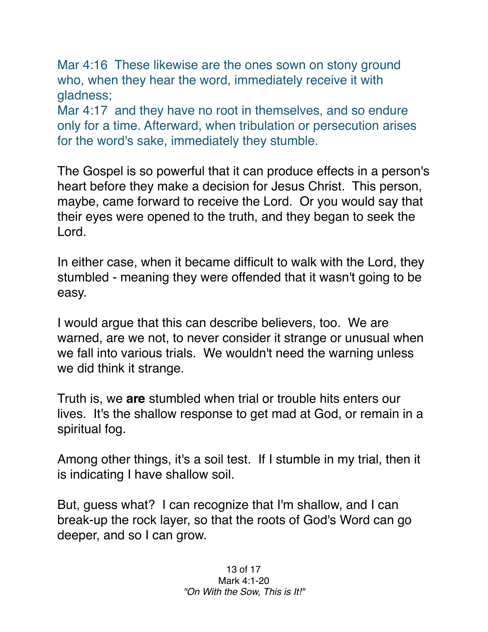Mar 4:16 These likewise are the ones sown on stony ground who, when they hear the word, immediately receive it with gladness;

Mar 4:17 and they have no root in themselves, and so endure only for a time. Afterward, when tribulation or persecution arises for the word's sake, immediately they stumble.

The Gospel is so powerful that it can produce effects in a person's heart before they make a decision for Jesus Christ. This person, maybe, came forward to receive the Lord. Or you would say that their eyes were opened to the truth, and they began to seek the Lord.

In either case, when it became difficult to walk with the Lord, they stumbled - meaning they were offended that it wasn't going to be easy.

I would argue that this can describe believers, too. We are warned, are we not, to never consider it strange or unusual when we fall into various trials. We wouldn't need the warning unless we did think it strange.

Truth is, we **are** stumbled when trial or trouble hits enters our lives. It's the shallow response to get mad at God, or remain in a spiritual fog.

Among other things, it's a soil test. If I stumble in my trial, then it is indicating I have shallow soil.

But, guess what? I can recognize that I'm shallow, and I can break-up the rock layer, so that the roots of God's Word can go deeper, and so I can grow.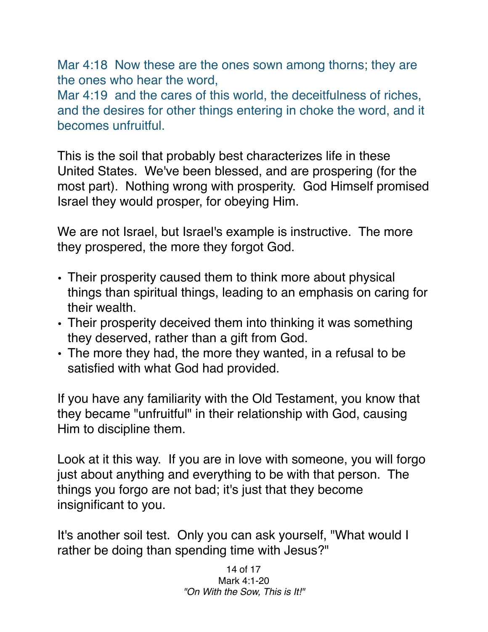Mar 4:18 Now these are the ones sown among thorns; they are the ones who hear the word,

Mar 4:19 and the cares of this world, the deceitfulness of riches, and the desires for other things entering in choke the word, and it becomes unfruitful.

This is the soil that probably best characterizes life in these United States. We've been blessed, and are prospering (for the most part). Nothing wrong with prosperity. God Himself promised Israel they would prosper, for obeying Him.

We are not Israel, but Israel's example is instructive. The more they prospered, the more they forgot God.

- Their prosperity caused them to think more about physical things than spiritual things, leading to an emphasis on caring for their wealth.
- Their prosperity deceived them into thinking it was something they deserved, rather than a gift from God.
- The more they had, the more they wanted, in a refusal to be satisfied with what God had provided.

If you have any familiarity with the Old Testament, you know that they became "unfruitful" in their relationship with God, causing Him to discipline them.

Look at it this way. If you are in love with someone, you will forgo just about anything and everything to be with that person. The things you forgo are not bad; it's just that they become insignificant to you.

It's another soil test. Only you can ask yourself, "What would I rather be doing than spending time with Jesus?"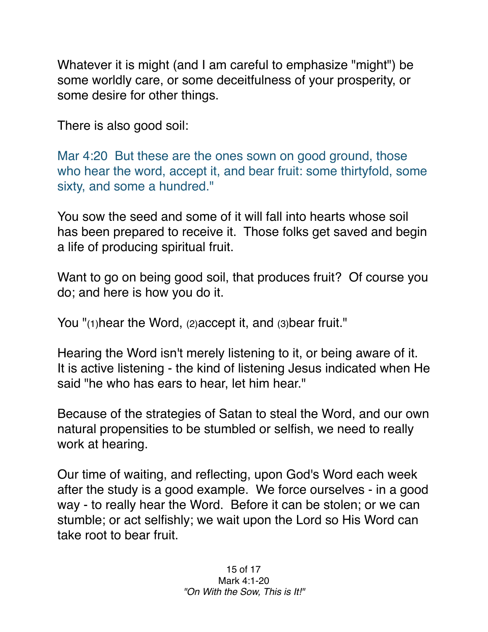Whatever it is might (and I am careful to emphasize "might") be some worldly care, or some deceitfulness of your prosperity, or some desire for other things.

There is also good soil:

Mar 4:20 But these are the ones sown on good ground, those who hear the word, accept it, and bear fruit: some thirtyfold, some sixty, and some a hundred."

You sow the seed and some of it will fall into hearts whose soil has been prepared to receive it. Those folks get saved and begin a life of producing spiritual fruit.

Want to go on being good soil, that produces fruit? Of course you do; and here is how you do it.

You "(1)hear the Word, (2) accept it, and (3) bear fruit."

Hearing the Word isn't merely listening to it, or being aware of it. It is active listening - the kind of listening Jesus indicated when He said "he who has ears to hear, let him hear."

Because of the strategies of Satan to steal the Word, and our own natural propensities to be stumbled or selfish, we need to really work at hearing.

Our time of waiting, and reflecting, upon God's Word each week after the study is a good example. We force ourselves - in a good way - to really hear the Word. Before it can be stolen; or we can stumble; or act selfishly; we wait upon the Lord so His Word can take root to bear fruit.